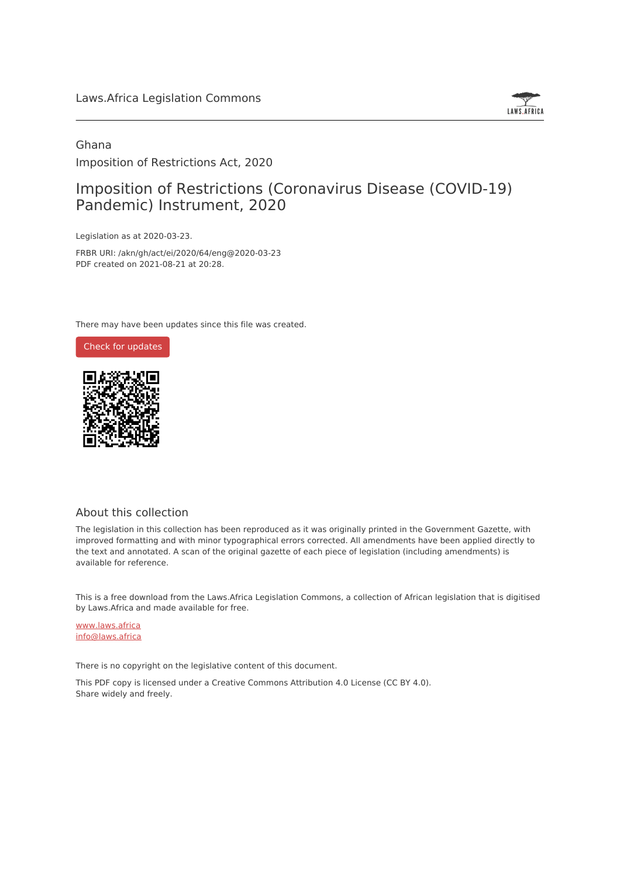

## Ghana Imposition of Restrictions Act, 2020

# Imposition of Restrictions (Coronavirus Disease (COVID-19) Pandemic) Instrument, 2020

Legislation as at 2020-03-23.

FRBR URI: /akn/gh/act/ei/2020/64/eng@2020-03-23 PDF created on 2021-08-21 at 20:28.

There may have been updates since this file was created.



#### About this collection

The legislation in this collection has been reproduced as it was originally printed in the Government Gazette, with improved formatting and with minor typographical errors corrected. All amendments have been applied directly to the text and annotated. A scan of the original gazette of each piece of legislation (including amendments) is available for reference.

This is a free download from the Laws.Africa Legislation Commons, a collection of African legislation that is digitised by Laws.Africa and made available for free.

[www.laws.africa](https://www.laws.africa) [info@laws.africa](mailto:info@laws.africa)

There is no copyright on the legislative content of this document.

This PDF copy is licensed under a Creative Commons Attribution 4.0 License (CC BY 4.0). Share widely and freely.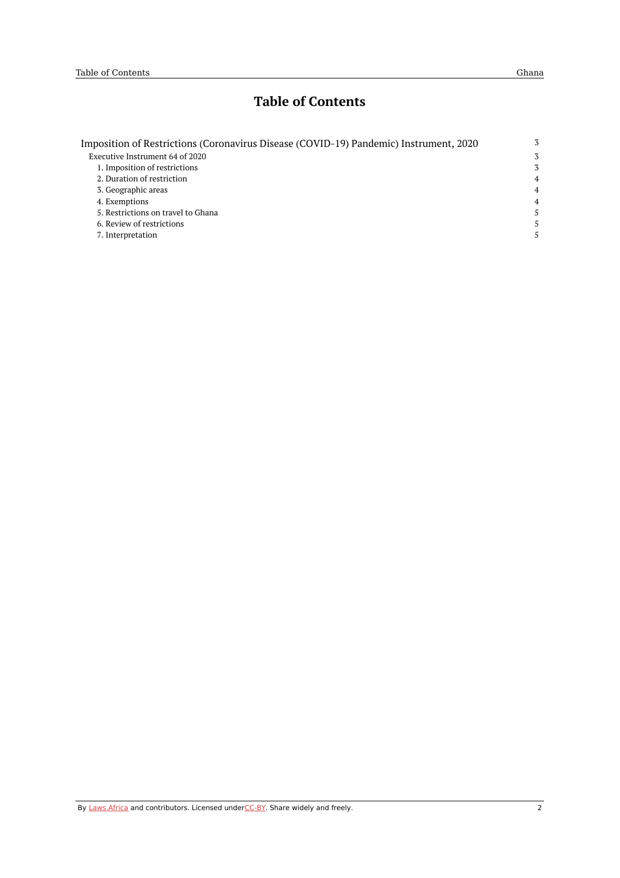# **Table of Contents**

| Imposition of Restrictions (Coronavirus Disease (COVID-19) Pandemic) Instrument, 2020 | 3              |
|---------------------------------------------------------------------------------------|----------------|
| Executive Instrument 64 of 2020                                                       | 3              |
| 1. Imposition of restrictions                                                         | 3              |
| 2. Duration of restriction                                                            | $\overline{4}$ |
| 3. Geographic areas                                                                   | $\overline{4}$ |
| 4. Exemptions                                                                         | $\overline{4}$ |
| 5. Restrictions on travel to Ghana                                                    | 5.             |
| 6. Review of restrictions                                                             | 5.             |
| 7. Interpretation                                                                     | 5.             |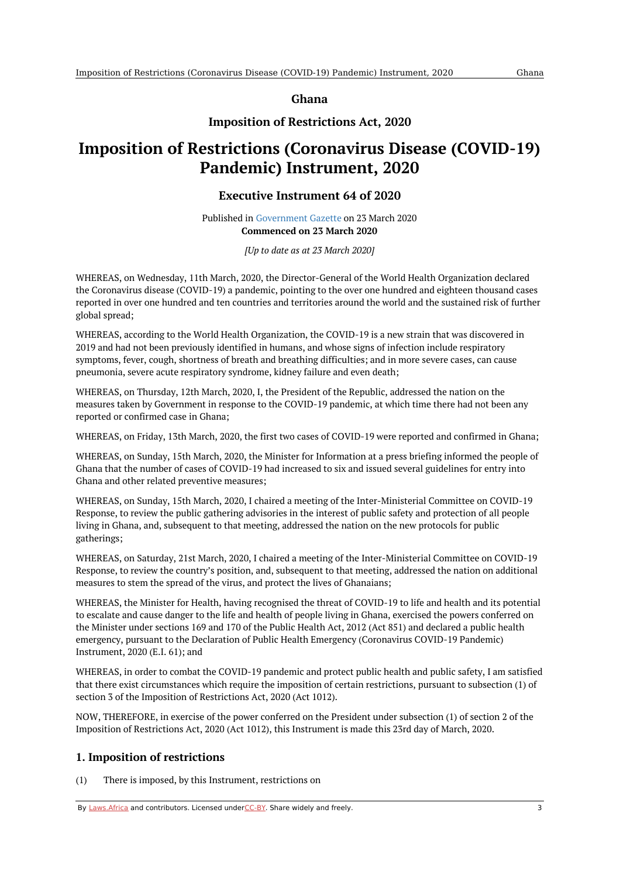**Ghana**

### **Imposition of Restrictions Act, 2020**

# <span id="page-2-1"></span><span id="page-2-0"></span>**Imposition of Restrictions (Coronavirus Disease (COVID-19) Pandemic) Instrument, 2020**

#### **Executive Instrument 64 of 2020**

Published in [Government](https://commons.laws.africa/akn/gh/act/ei/2020/64/media/publication/gh-act-ei-2020-64-publication-document.pdf) Gazette on 23 March 2020 **Commenced on 23 March 2020**

*[Up to date as at 23 March 2020]*

WHEREAS, on Wednesday, 11th March, 2020, the Director-General of the World Health Organization declared the Coronavirus disease (COVID-19) a pandemic, pointing to the over one hundred and eighteen thousand cases reported in over one hundred and ten countries and territories around the world and the sustained risk of further global spread;

WHEREAS, according to the World Health Organization, the COVID-19 is a new strain that was discovered in 2019 and had not been previously identified in humans, and whose signs of infection include respiratory symptoms, fever, cough, shortness of breath and breathing difficulties; and in more severe cases, can cause pneumonia, severe acute respiratory syndrome, kidney failure and even death;

WHEREAS, on Thursday, 12th March, 2020, I, the President of the Republic, addressed the nation on the measures taken by Government in response to the COVID-19 pandemic, at which time there had not been any reported or confirmed case in Ghana;

WHEREAS, on Friday, 13th March, 2020, the first two cases of COVID-19 were reported and confirmed in Ghana;

WHEREAS, on Sunday, 15th March, 2020, the Minister for Information at a press briefing informed the people of Ghana that the number of cases of COVID-19 had increased to six and issued several guidelines for entry into Ghana and other related preventive measures;

WHEREAS, on Sunday, 15th March, 2020, I chaired a meeting of the Inter-Ministerial Committee on COVID-19 Response, to review the public gathering advisories in the interest of public safety and protection of all people living in Ghana, and, subsequent to that meeting, addressed the nation on the new protocols for public gatherings;

WHEREAS, on Saturday, 21st March, 2020, I chaired a meeting of the Inter-Ministerial Committee on COVID-19 Response, to review the country's position, and, subsequent to that meeting, addressed the nation on additional measures to stem the spread of the virus, and protect the lives of Ghanaians;

WHEREAS, the Minister for Health, having recognised the threat of COVID-19 to life and health and its potential to escalate and cause danger to the life and health of people living in Ghana, exercised the powers conferred on the Minister under sections 169 and 170 of the Public Health Act, 2012 (Act 851) and declared a public health emergency, pursuant to the Declaration of Public Health Emergency (Coronavirus COVID-19 Pandemic) Instrument, 2020 (E.I. 61); and

WHEREAS, in order to combat the COVID-19 pandemic and protect public health and public safety, I am satisfied that there exist circumstances which require the imposition of certain restrictions, pursuant to subsection (1) of section 3 of the Imposition of Restrictions Act, 2020 (Act 1012).

NOW, THEREFORE, in exercise of the power conferred on the President under subsection (1) of section 2 of the Imposition of Restrictions Act, 2020 (Act 1012), this Instrument is made this 23rd day of March, 2020.

#### <span id="page-2-2"></span>**1. Imposition of restrictions**

(1) There is imposed, by this Instrument, restrictions on

By [Laws.Africa](https://edit.laws.africa/widgets/pdf-attribution) and contributors. Licensed und[erCC-B](https://edit.laws.africa/widgets/pdf-cc-by)Y. Share widely and freely. 3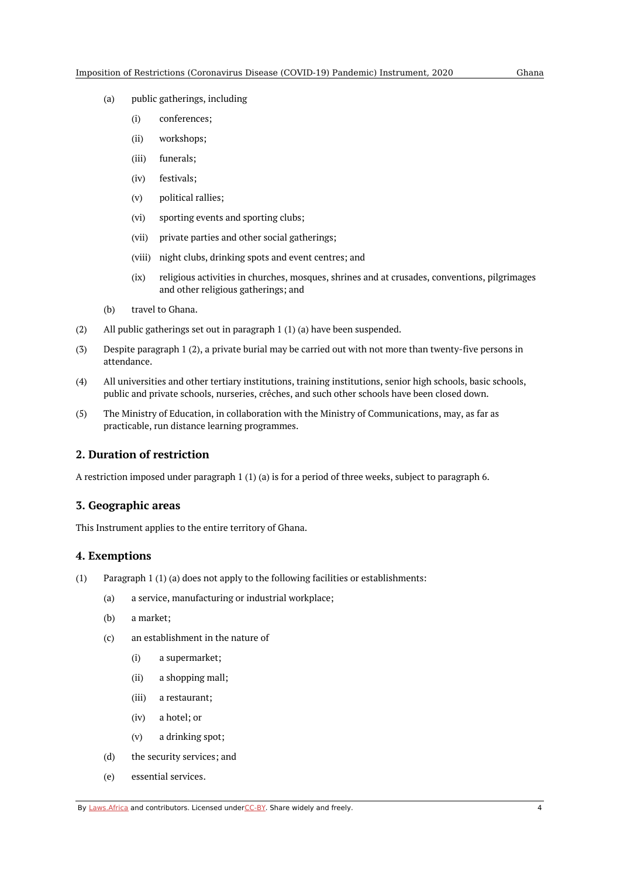- (a) public gatherings, including
	- (i) conferences;
	- (ii) workshops;
	- (iii) funerals;
	- (iv) festivals;
	- (v) political rallies;
	- (vi) sporting events and sporting clubs;
	- (vii) private parties and other social gatherings;
	- (viii) night clubs, drinking spots and event centres; and
	- $(ix)$ religious activities in churches, mosques, shrines and at crusades, conventions, pilgrimages and other religious gatherings; and
- (b) travel to Ghana.
- (2) All public gatherings set out in paragraph 1 (1) (a) have been suspended.
- (3) Despite paragraph 1 (2), a private burial may be carried out with not more than twenty-five persons in attendance.
- (4) All universities and other tertiary institutions, training institutions, senior high schools, basic schools, public and private schools, nurseries, crêches, and such other schools have been closed down.
- (5) The Ministry of Education, in collaboration with the Ministry of Communications, may, as far as practicable, run distance learning programmes.

#### <span id="page-3-0"></span>**2. Duration of restriction**

A restriction imposed under paragraph 1 (1) (a) is for a period of three weeks, subject to paragraph 6.

#### <span id="page-3-1"></span>**3. Geographic areas**

This Instrument applies to the entire territory of Ghana.

#### <span id="page-3-2"></span>**4. Exemptions**

- (1) Paragraph 1 (1) (a) does not apply to the following facilities or establishments:
	- (a) a service, manufacturing or industrial workplace;
	- (b) a market;
	- (c) an establishment in the nature of
		- (i) a supermarket;
		- (ii) a shopping mall;
		- (iii) a restaurant;
		- (iv) a hotel; or
		- (v) a drinking spot;
	- (d) the security services; and
	- (e) essential services.

By [Laws.Africa](https://edit.laws.africa/widgets/pdf-attribution) and contributors. Licensed und[erCC-B](https://edit.laws.africa/widgets/pdf-cc-by)Y. Share widely and freely. 4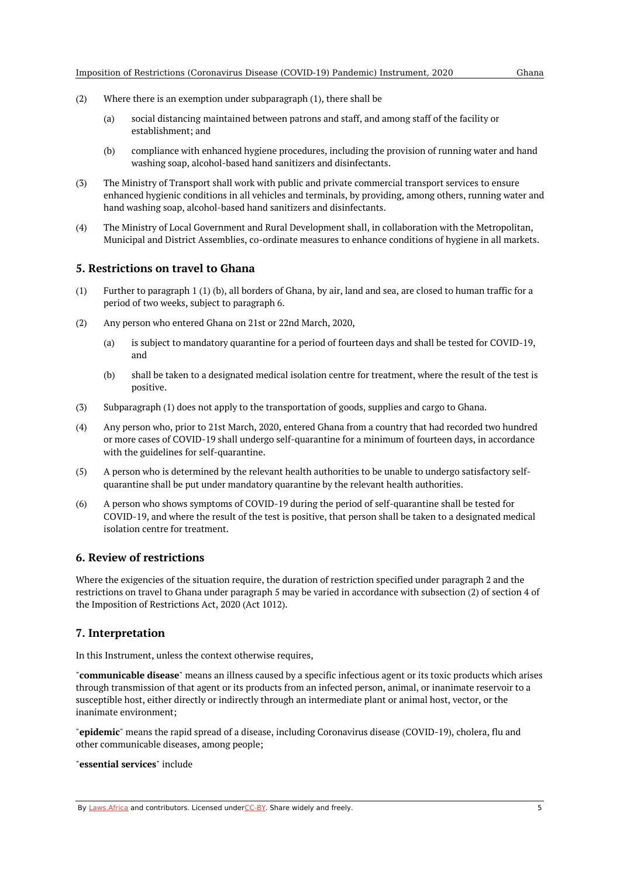- (2) Where there is an exemption under subparagraph (1), there shall be
	- (a) social distancing maintained between patrons and staff, and among staff of the facility or establishment; and
	- (b) compliance with enhanced hygiene procedures, including the provision of running water and hand washing soap, alcohol-based hand sanitizers and disinfectants.
- (3) The Ministry of Transport shall work with public and private commercial transport services to ensure enhanced hygienic conditions in all vehicles and terminals, by providing, among others, running water and hand washing soap, alcohol-based hand sanitizers and disinfectants.
- (4) The Ministry of Local Government and Rural Development shall, in collaboration with the Metropolitan, Municipal and District Assemblies, co-ordinate measures to enhance conditions of hygiene in all markets.

#### <span id="page-4-0"></span>**5. Restrictions on travel to Ghana**

- (1) Further to paragraph 1 (1) (b), all borders of Ghana, by air, land and sea, are closed to human traffic for a period of two weeks, subject to paragraph 6.
- (2) Any person who entered Ghana on 21st or 22nd March, 2020,
	- (a) is subject to mandatory quarantine for a period of fourteen days and shall be tested for COVID-19, and
	- (b) shall be taken to a designated medical isolation centre for treatment, where the result of the test is positive.
- (3) Subparagraph (1) does not apply to the transportation of goods, supplies and cargo to Ghana.
- (4) Any person who, prior to 21st March, 2020, entered Ghana from a country that had recorded two hundred or more cases of COVID-19 shall undergo self-quarantine for a minimum of fourteen days, in accordance with the guidelines for self-quarantine.
- (5) A person who is determined by the relevant health authorities to be unable to undergo satisfactory selfquarantine shall be put under mandatory quarantine by the relevant health authorities.
- (6) A person who shows symptoms of COVID-19 during the period of self-quarantine shall be tested for COVID-19, and where the result of the test is positive, that person shall be taken to a designated medical isolation centre for treatment.

#### <span id="page-4-1"></span>**6. Review of restrictions**

Where the exigencies of the situation require, the duration of restriction specified under paragraph 2 and the restrictions on travel to Ghana under paragraph 5 may be varied in accordance with subsection (2) of section 4 of the Imposition of Restrictions Act, 2020 (Act 1012).

#### <span id="page-4-2"></span>**7. Interpretation**

In this Instrument, unless the context otherwise requires,

"**communicable disease**" means an illness caused by a specific infectious agent or its toxic products which arises through transmission of that agent or its products from an infected person, animal, or inanimate reservoir to a susceptible host, either directly or indirectly through an intermediate plant or animal host, vector, or the inanimate environment;

"**epidemic**" means the rapid spread of a disease, including Coronavirus disease (COVID-19), cholera, flu and other communicable diseases, among people;

#### "**essential services**" include

By [Laws.Africa](https://edit.laws.africa/widgets/pdf-attribution) and contributors. Licensed und[erCC-B](https://edit.laws.africa/widgets/pdf-cc-by)Y. Share widely and freely.